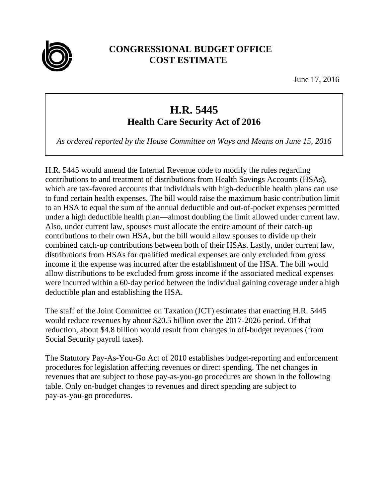

## **CONGRESSIONAL BUDGET OFFICE COST ESTIMATE**

June 17, 2016

## **H.R. 5445**

**Health Care Security Act of 2016** 

*As ordered reported by the House Committee on Ways and Means on June 15, 2016* 

H.R. 5445 would amend the Internal Revenue code to modify the rules regarding contributions to and treatment of distributions from Health Savings Accounts (HSAs), which are tax-favored accounts that individuals with high-deductible health plans can use to fund certain health expenses. The bill would raise the maximum basic contribution limit to an HSA to equal the sum of the annual deductible and out-of-pocket expenses permitted under a high deductible health plan—almost doubling the limit allowed under current law. Also, under current law, spouses must allocate the entire amount of their catch-up contributions to their own HSA, but the bill would allow spouses to divide up their combined catch-up contributions between both of their HSAs. Lastly, under current law, distributions from HSAs for qualified medical expenses are only excluded from gross income if the expense was incurred after the establishment of the HSA. The bill would allow distributions to be excluded from gross income if the associated medical expenses were incurred within a 60-day period between the individual gaining coverage under a high deductible plan and establishing the HSA.

The staff of the Joint Committee on Taxation (JCT) estimates that enacting H.R. 5445 would reduce revenues by about \$20.5 billion over the 2017-2026 period. Of that reduction, about \$4.8 billion would result from changes in off-budget revenues (from Social Security payroll taxes).

The Statutory Pay-As-You-Go Act of 2010 establishes budget-reporting and enforcement procedures for legislation affecting revenues or direct spending. The net changes in revenues that are subject to those pay-as-you-go procedures are shown in the following table. Only on-budget changes to revenues and direct spending are subject to pay-as-you-go procedures.